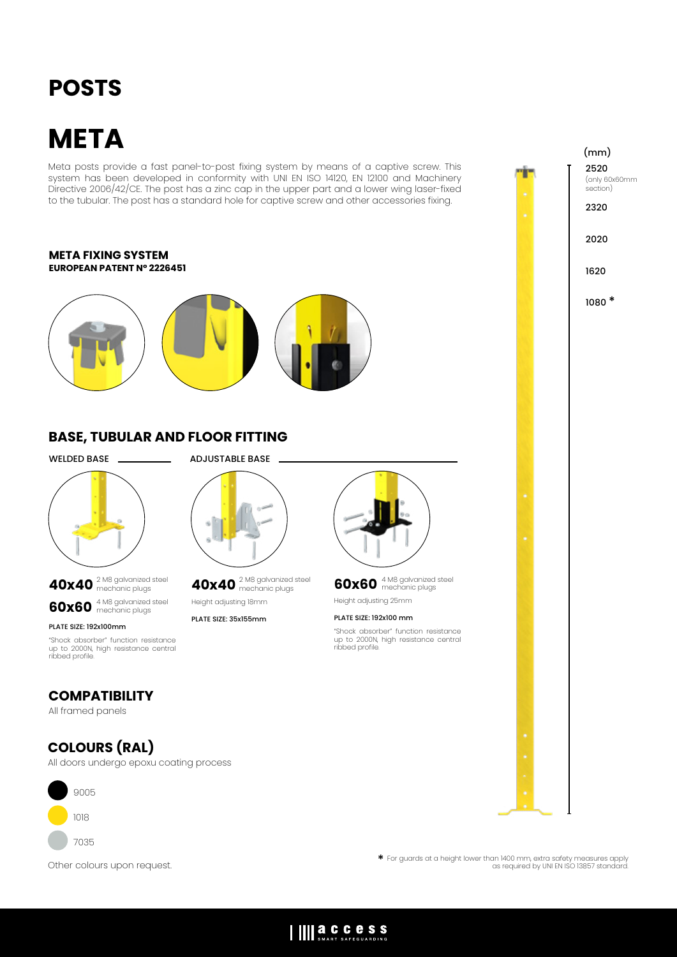## **POSTS**

# **META**

Meta posts provide a fast panel-to-post fixing system by means of a captive screw. This system has been developed in conformity with UNI EN ISO 14120, EN 12100 and Machinery Directive 2006/42/CE. The post has a zinc cap in the upper part and a lower wing laser-fixed to the tubular. The post has a standard hole for captive screw and other accessories fixing.

#### **META FIXING SYSTEM EUROPEAN PATENT N° 2226451**



## **BASE, TUBULAR AND FLOOR FITTING**

WELDED BASE ADJUSTABLE BASE



**40x40** 2 M8 galvanized steel mechanic plugs **60x60** 4 M8 galvanized steel mechanic plugs

PLATE SIZE: 192x100mm

"Shock absorber" function resistance up to 2000N, high resistance central ribbed profile.

### **COMPATIBILITY**

All framed panels

## **COLOURS (RAL)**

All doors undergo epoxu coating process



**40x40** 2 M8 galvanized steel mechanic plugs Height adjusting 18mm

PLATE SIZE: 35x155mm



**60x60** 4 M8 galvanized steel mechanic plugs Height adjusting 25mm

#### PLATE SIZE: 192x100 mm

IIII a.C.C.C.S.S

"Shock absorber" function resistance up to 2000N, high resistance central ribbed profile.

2520 (only 60x60mm section) 2320 2020 1620 1080 \* (mm)

Other colours upon request.

\* For guards at a height lower than 1400 mm, extra safety measures apply as required by UNI EN ISO 13857 standard.